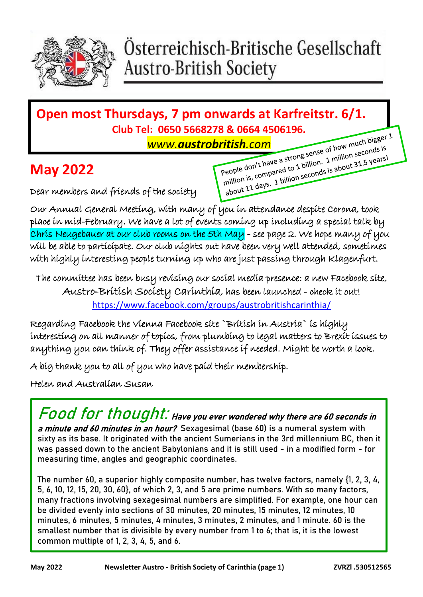

### Österreichisch-Britische Gesellschaft **Austro-British Society**

# **Open most Thursdays, 7 pm onwards at Karfreitstr. 6/1. Club Tel: 0650 5668278 & 0664 4506196.**<br>WWW.austrobritish.com

#### **May 2022**

Dear members and friends of the society

**www.austrobritish.com**<br>
People don't have a strong sense of how much bigger<br>
People don't have a strong sense of how much bigger<br>
People don't have a strong sense of how much seconds is<br>
million is, compared to 1 billion.

Our Annual General Meeting, with many of you in attendance despite Corona, took place in mid-February. We have a lot of events coming up including a special talk by Chris Neugebauer at our club rooms on the 5th May - see page 2. We hope many of you will be able to participate. Our club nights out have been very well attended, sometimes with highly interesting people turning up who are just passing through Klagenfurt.

The committee has been busy revising our social media presence: a new Facebook site, Austro-British Society Carinthia, has been launched - check it out! <https://www.facebook.com/groups/austrobritishcarinthia/>

Regarding Facebook the Vienna Facebook site `British in Austria` is highly interesting on all manner of topics, from plumbing to legal matters to Brexit issues to anything you can think of. They offer assistance if needed. Might be worth a look.

A big thank you to all of you who have paid their membership.

Helen and Australian Susan

**Food for thought**: Have you ever wondered why there are 60 seconds in a minute and 60 minutes in an hour? Sexagesimal (base 60) is a numeral system with sixty as its base. It originated with the ancient Sumerians in the 3rd millennium BC, then it was passed down to the ancient Babylonians and it is still used - in a modified form - for measuring time, angles and geographic coordinates.

The number 60, a superior highly composite number, has twelve factors, namely {1, 2, 3, 4, 5, 6, 10, 12, 15, 20, 30, 60}, of which 2, 3, and 5 are prime numbers. With so many factors, many fractions involving sexagesimal numbers are simplified. For example, one hour can be divided evenly into sections of 30 minutes, 20 minutes, 15 minutes, 12 minutes, 10 minutes, 6 minutes, 5 minutes, 4 minutes, 3 minutes, 2 minutes, and 1 minute. 60 is the smallest number that is divisible by every number from 1 to 6; that is, it is the lowest common multiple of 1, 2, 3, 4, 5, and 6.